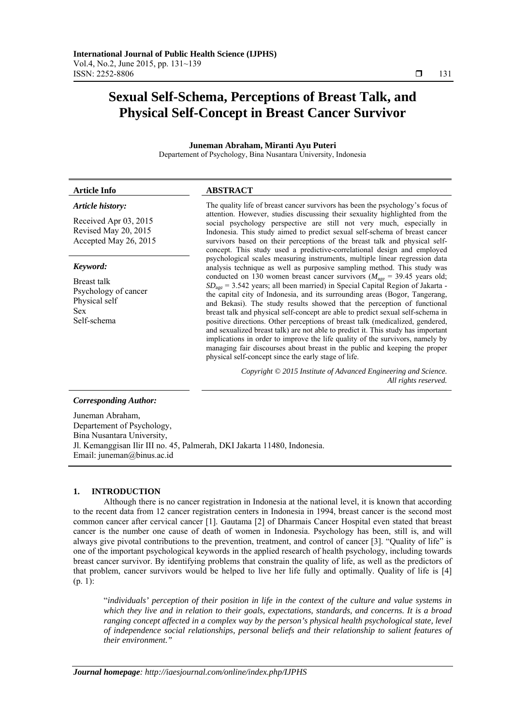# **Sexual Self-Schema, Perceptions of Breast Talk, and Physical Self-Concept in Breast Cancer Survivor**

**Juneman Abraham, Miranti Ayu Puteri**  Departement of Psychology, Bina Nusantara University, Indonesia

#### **Article Info ABSTRACT** *Article history:*  Received Apr 03, 2015 Revised May 20, 2015 Accepted May 26, 2015 The quality life of breast cancer survivors has been the psychology's focus of attention. However, studies discussing their sexuality highlighted from the social psychology perspective are still not very much, especially in Indonesia. This study aimed to predict sexual self-schema of breast cancer survivors based on their perceptions of the breast talk and physical selfconcept. This study used a predictive-correlational design and employed psychological scales measuring instruments, multiple linear regression data analysis technique as well as purposive sampling method. This study was conducted on 130 women breast cancer survivors ( $M_{\text{age}} = 39.45$  years old;  $SD<sub>ase</sub>$  = 3.542 years; all been married) in Special Capital Region of Jakarta the capital city of Indonesia, and its surrounding areas (Bogor, Tangerang, and Bekasi). The study results showed that the perception of functional breast talk and physical self-concept are able to predict sexual self-schema in positive directions. Other perceptions of breast talk (medicalized, gendered, and sexualized breast talk) are not able to predict it. This study has important implications in order to improve the life quality of the survivors, namely by managing fair discourses about breast in the public and keeping the proper physical self-concept since the early stage of life. *Keyword:*  Breast talk Psychology of cancer Physical self Sex Self-schema

*Copyright © 2015 Institute of Advanced Engineering and Science. All rights reserved.* 

# *Corresponding Author:*

Juneman Abraham, Departement of Psychology, Bina Nusantara University, Jl. Kemanggisan Ilir III no. 45, Palmerah, DKI Jakarta 11480, Indonesia. Email: juneman@binus.ac.id

# **1. INTRODUCTION**

Although there is no cancer registration in Indonesia at the national level, it is known that according to the recent data from 12 cancer registration centers in Indonesia in 1994, breast cancer is the second most common cancer after cervical cancer [1]. Gautama [2] of Dharmais Cancer Hospital even stated that breast cancer is the number one cause of death of women in Indonesia. Psychology has been, still is, and will always give pivotal contributions to the prevention, treatment, and control of cancer [3]. "Quality of life" is one of the important psychological keywords in the applied research of health psychology, including towards breast cancer survivor. By identifying problems that constrain the quality of life, as well as the predictors of that problem, cancer survivors would be helped to live her life fully and optimally. Quality of life is [4] (p. 1):

"*individuals' perception of their position in life in the context of the culture and value systems in which they live and in relation to their goals, expectations, standards, and concerns. It is a broad ranging concept affected in a complex way by the person's physical health psychological state, level of independence social relationships, personal beliefs and their relationship to salient features of their environment."*

ֺֺ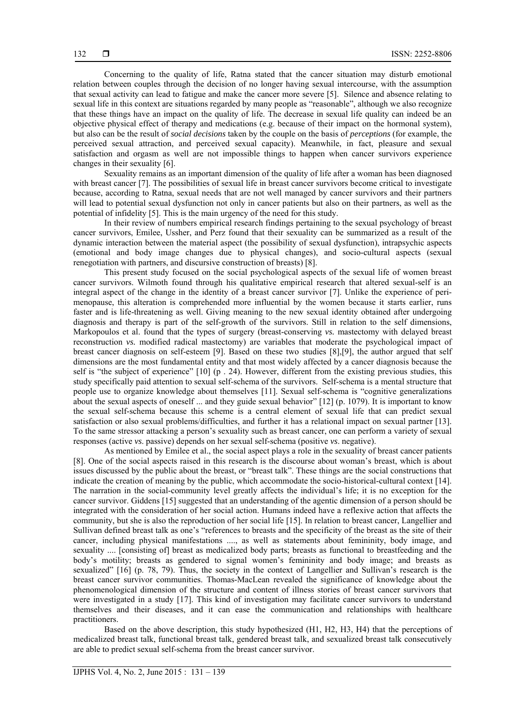Concerning to the quality of life, Ratna stated that the cancer situation may disturb emotional relation between couples through the decision of no longer having sexual intercourse, with the assumption that sexual activity can lead to fatigue and make the cancer more severe [5]. Silence and absence relating to sexual life in this context are situations regarded by many people as "reasonable", although we also recognize that these things have an impact on the quality of life. The decrease in sexual life quality can indeed be an objective physical effect of therapy and medications (e.g. because of their impact on the hormonal system), but also can be the result of *social decisions* taken by the couple on the basis of *perceptions* (for example, the perceived sexual attraction, and perceived sexual capacity). Meanwhile, in fact, pleasure and sexual satisfaction and orgasm as well are not impossible things to happen when cancer survivors experience changes in their sexuality [6].

Sexuality remains as an important dimension of the quality of life after a woman has been diagnosed with breast cancer [7]. The possibilities of sexual life in breast cancer survivors become critical to investigate because, according to Ratna, sexual needs that are not well managed by cancer survivors and their partners will lead to potential sexual dysfunction not only in cancer patients but also on their partners, as well as the potential of infidelity [5]. This is the main urgency of the need for this study.

In their review of numbers empirical research findings pertaining to the sexual psychology of breast cancer survivors, Emilee, Ussher, and Perz found that their sexuality can be summarized as a result of the dynamic interaction between the material aspect (the possibility of sexual dysfunction), intrapsychic aspects (emotional and body image changes due to physical changes), and socio-cultural aspects (sexual renegotiation with partners, and discursive construction of breasts) [8].

This present study focused on the social psychological aspects of the sexual life of women breast cancer survivors. Wilmoth found through his qualitative empirical research that altered sexual-self is an integral aspect of the change in the identity of a breast cancer survivor [7]. Unlike the experience of perimenopause, this alteration is comprehended more influential by the women because it starts earlier, runs faster and is life-threatening as well. Giving meaning to the new sexual identity obtained after undergoing diagnosis and therapy is part of the self-growth of the survivors. Still in relation to the self dimensions, Markopoulos et al. found that the types of surgery (breast-conserving *vs.* mastectomy with delayed breast reconstruction *vs.* modified radical mastectomy) are variables that moderate the psychological impact of breast cancer diagnosis on self-esteem [9]. Based on these two studies [8],[9], the author argued that self dimensions are the most fundamental entity and that most widely affected by a cancer diagnosis because the self is "the subject of experience" [10] (p . 24). However, different from the existing previous studies, this study specifically paid attention to sexual self-schema of the survivors. Self-schema is a mental structure that people use to organize knowledge about themselves [11]. Sexual self-schema is "cognitive generalizations about the sexual aspects of oneself ... and they guide sexual behavior" [12] (p. 1079). It is important to know the sexual self-schema because this scheme is a central element of sexual life that can predict sexual satisfaction or also sexual problems/difficulties, and further it has a relational impact on sexual partner [13]. To the same stressor attacking a person's sexuality such as breast cancer, one can perform a variety of sexual responses (active *vs*. passive) depends on her sexual self-schema (positive *vs*. negative).

As mentioned by Emilee et al., the social aspect plays a role in the sexuality of breast cancer patients [8]. One of the social aspects raised in this research is the discourse about woman's breast, which is about issues discussed by the public about the breast, or "breast talk". These things are the social constructions that indicate the creation of meaning by the public, which accommodate the socio-historical-cultural context [14]. The narration in the social-community level greatly affects the individual's life; it is no exception for the cancer survivor. Giddens [15] suggested that an understanding of the agentic dimension of a person should be integrated with the consideration of her social action. Humans indeed have a reflexive action that affects the community, but she is also the reproduction of her social life [15]. In relation to breast cancer, Langellier and Sullivan defined breast talk as one's "references to breasts and the specificity of the breast as the site of their cancer, including physical manifestations ...., as well as statements about femininity, body image, and sexuality .... [consisting of] breast as medicalized body parts; breasts as functional to breastfeeding and the body's motility; breasts as gendered to signal women's femininity and body image; and breasts as sexualized" [16] (p. 78, 79). Thus, the society in the context of Langellier and Sullivan's research is the breast cancer survivor communities. Thomas-MacLean revealed the significance of knowledge about the phenomenological dimension of the structure and content of illness stories of breast cancer survivors that were investigated in a study [17]. This kind of investigation may facilitate cancer survivors to understand themselves and their diseases, and it can ease the communication and relationships with healthcare practitioners.

Based on the above description, this study hypothesized (H1, H2, H3, H4) that the perceptions of medicalized breast talk, functional breast talk, gendered breast talk, and sexualized breast talk consecutively are able to predict sexual self-schema from the breast cancer survivor.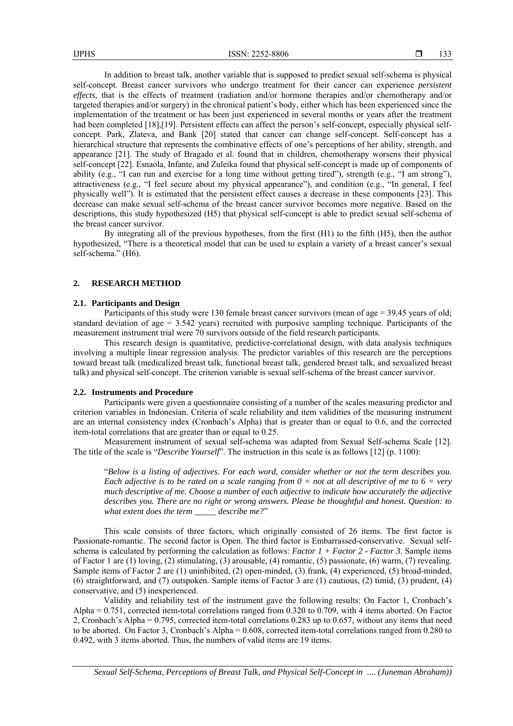In addition to breast talk, another variable that is supposed to predict sexual self-schema is physical self-concept. Breast cancer survivors who undergo treatment for their cancer can experience *persistent effects*, that is the effects of treatment (radiation and/or hormone therapies and/or chemotherapy and/or targeted therapies and/or surgery) in the chronical patient's body, either which has been experienced since the implementation of the treatment or has been just experienced in several months or years after the treatment had been completed [18],[19]. Persistent effects can affect the person's self-concept, especially physical selfconcept. Park, Zlateva, and Bank [20] stated that cancer can change self-concept. Self-concept has a hierarchical structure that represents the combinative effects of one's perceptions of her ability, strength, and appearance [21]. The study of Bragado et al. found that in children, chemotherapy worsens their physical self-concept [22]. Esnaola, Infante, and Zuleika found that physical self-concept is made up of components of ability (e.g., "I can run and exercise for a long time without getting tired"), strength (e.g., "I am strong"), attractiveness (e.g., "I feel secure about my physical appearance"), and condition (e.g., "In general, I feel physically well"). It is estimated that the persistent effect causes a decrease in these components [23]. This decrease can make sexual self-schema of the breast cancer survivor becomes more negative. Based on the descriptions, this study hypothesized (H5) that physical self-concept is able to predict sexual self-schema of the breast cancer survivor.

By integrating all of the previous hypotheses, from the first (H1) to the fifth (H5), then the author hypothesized, "There is a theoretical model that can be used to explain a variety of a breast cancer's sexual self-schema." (H6).

# **2. RESEARCH METHOD**

### **2.1. Participants and Design**

Participants of this study were 130 female breast cancer survivors (mean of age = 39.45 years of old; standard deviation of age = 3.542 years) recruited with purposive sampling technique. Participants of the measurement instrument trial were 70 survivors outside of the field research participants.

This research design is quantitative, predictive-correlational design, with data analysis techniques involving a multiple linear regression analysis. The predictor variables of this research are the perceptions toward breast talk (medicalized breast talk, functional breast talk, gendered breast talk, and sexualized breast talk) and physical self-concept. The criterion variable is sexual self-schema of the breast cancer survivor.

# **2.2. Instruments and Procedure**

Participants were given a questionnaire consisting of a number of the scales measuring predictor and criterion variables in Indonesian. Criteria of scale reliability and item validities of the measuring instrument are an internal consistency index (Cronbach's Alpha) that is greater than or equal to 0.6, and the corrected item-total correlations that are greater than or equal to 0.25.

Measurement instrument of sexual self-schema was adapted from Sexual Self-schema Scale [12]. The title of the scale is "*Describe Yourself*". The instruction in this scale is as follows [12] (p. 1100):

"*Below is a listing of adjectives. For each word, consider whether or not the term describes you. Each adjective is to be rated on a scale ranging from 0 = not at all descriptive of me to 6 = very much descriptive of me. Choose a number of each adjective to indicate how accurately the adjective describes you. There are no right or wrong answers. Please be thoughtful and honest. Question: to what extent does the term \_\_\_\_\_ describe me?*"

This scale consists of three factors, which originally consisted of 26 items. The first factor is Passionate-romantic. The second factor is Open. The third factor is Embarrassed-conservative. Sexual selfschema is calculated by performing the calculation as follows: *Factor 1 + Factor 2 - Factor 3*. Sample items of Factor 1 are (1) loving, (2) stimulating, (3) arousable, (4) romantic, (5) passionate, (6) warm, (7) revealing. Sample items of Factor 2 are (1) uninhibited, (2) open-minded, (3) frank, (4) experienced, (5) broad-minded, (6) straightforward, and (7) outspoken. Sample items of Factor 3 are (1) cautious, (2) timid, (3) prudent, (4) conservative, and (5) inexperienced.

Validity and reliability test of the instrument gave the following results: On Factor 1, Cronbach's Alpha = 0.751, corrected item-total correlations ranged from 0.320 to 0.709, with 4 items aborted. On Factor 2, Cronbach's Alpha = 0.795, corrected item-total correlations 0.283 up to 0.657, without any items that need to be aborted. On Factor 3, Cronbach's Alpha = 0.608, corrected item-total correlations ranged from 0.280 to 0.492, with 3 items aborted. Thus, the numbers of valid items are 19 items.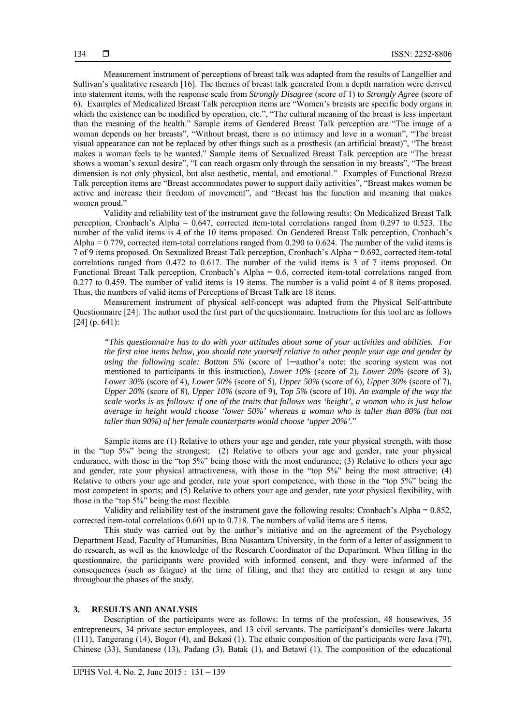Measurement instrument of perceptions of breast talk was adapted from the results of Langellier and Sullivan's qualitative research [16]. The themes of breast talk generated from a depth narration were derived into statement items, with the response scale from *Strongly Disagree* (score of 1) to *Strongly Agree* (score of 6). Examples of Medicalized Breast Talk perception items are "Women's breasts are specific body organs in which the existence can be modified by operation, etc.", "The cultural meaning of the breast is less important than the meaning of the health." Sample items of Gendered Breast Talk perception are "The image of a woman depends on her breasts", "Without breast, there is no intimacy and love in a woman", "The breast visual appearance can not be replaced by other things such as a prosthesis (an artificial breast)", "The breast makes a woman feels to be wanted." Sample items of Sexualized Breast Talk perception are "The breast shows a woman's sexual desire", "I can reach orgasm only through the sensation in my breasts", "The breast dimension is not only physical, but also aesthetic, mental, and emotional." Examples of Functional Breast Talk perception items are "Breast accommodates power to support daily activities", "Breast makes women be active and increase their freedom of movement", and "Breast has the function and meaning that makes women proud."

Validity and reliability test of the instrument gave the following results: On Medicalized Breast Talk perception, Cronbach's Alpha = 0.647, corrected item-total correlations ranged from 0.297 to 0.523. The number of the valid items is 4 of the 10 items proposed. On Gendered Breast Talk perception, Cronbach's Alpha = 0.779, corrected item-total correlations ranged from 0.290 to 0.624. The number of the valid items is 7 of 9 items proposed. On Sexualized Breast Talk perception, Cronbach's Alpha = 0.692, corrected item-total correlations ranged from 0.472 to 0.617. The number of the valid items is 3 of 7 items proposed. On Functional Breast Talk perception, Cronbach's Alpha = 0.6, corrected item-total correlations ranged from 0.277 to 0.459. The number of valid items is 19 items. The number is a valid point 4 of 8 items proposed. Thus, the numbers of valid items of Perceptions of Breast Talk are 18 items.

Measurement instrument of physical self-concept was adapted from the Physical Self-attribute Questionnaire [24]. The author used the first part of the questionnaire. Instructions for this tool are as follows [24] (p. 641):

*"This questionnaire has to do with your attitudes about some of your activities and abilities. For the first nine items below, you should rate yourself relative to other people your age and gender by using the following scale: Bottom 5%* (score of 1─author's note: the scoring system was not mentioned to participants in this instruction)*, Lower 10%* (score of 2)*, Lower 20%* (score of 3)*, Lower 30%* (score of 4)*, Lower 50%* (score of 5)*, Upper 50%* (score of 6)*, Upper 30%* (score of 7)*, Upper 20%* (score of 8)*, Upper 10%* (score of 9)*, Top 5%* (score of 10)*. An example of the way the scale works is as follows: if one of the traits that follows was 'height', a woman who is just below average in height would choose 'lower 50%' whereas a woman who is taller than 80% (but not taller than 90%) of her female counterparts would choose 'upper 20%'.*"

Sample items are (1) Relative to others your age and gender, rate your physical strength, with those in the "top 5%" being the strongest; (2) Relative to others your age and gender, rate your physical endurance, with those in the "top 5%" being those with the most endurance; (3) Relative to others your age and gender, rate your physical attractiveness, with those in the "top 5%" being the most attractive; (4) Relative to others your age and gender, rate your sport competence, with those in the "top 5%" being the most competent in sports; and (5) Relative to others your age and gender, rate your physical flexibility, with those in the "top 5%" being the most flexible.

Validity and reliability test of the instrument gave the following results: Cronbach's Alpha = 0.852, corrected item-total correlations 0.601 up to 0.718. The numbers of valid items are 5 items.

This study was carried out by the author's initiative and on the agreement of the Psychology Department Head, Faculty of Humanities, Bina Nusantara University, in the form of a letter of assignment to do research, as well as the knowledge of the Research Coordinator of the Department. When filling in the questionnaire, the participants were provided with informed consent, and they were informed of the consequences (such as fatigue) at the time of filling, and that they are entitled to resign at any time throughout the phases of the study.

# **3. RESULTS AND ANALYSIS**

Description of the participants were as follows: In terms of the profession, 48 housewives, 35 entrepreneurs, 34 private sector employees, and 13 civil servants. The participant's domiciles were Jakarta (111), Tangerang (14), Bogor (4), and Bekasi (1). The ethnic composition of the participants were Java (79), Chinese (33), Sundanese (13), Padang (3), Batak (1), and Betawi (1). The composition of the educational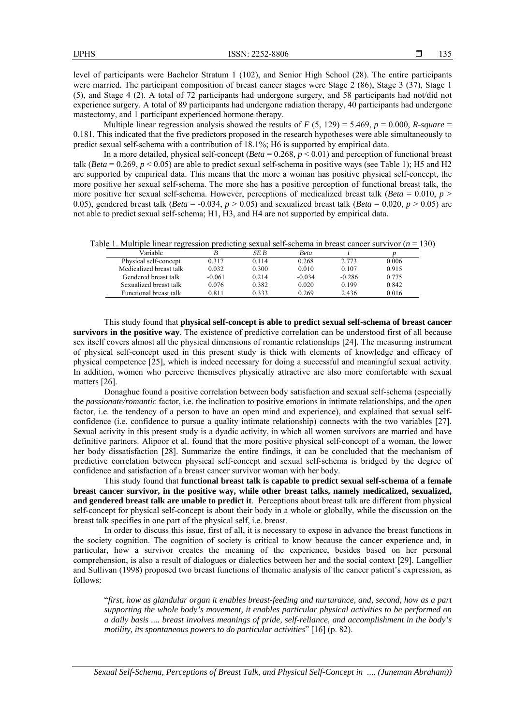level of participants were Bachelor Stratum 1 (102), and Senior High School (28). The entire participants were married. The participant composition of breast cancer stages were Stage 2 (86), Stage 3 (37), Stage 1 (5), and Stage 4 (2). A total of 72 participants had undergone surgery, and 58 participants had not/did not experience surgery. A total of 89 participants had undergone radiation therapy, 40 participants had undergone mastectomy, and 1 participant experienced hormone therapy.

Multiple linear regression analysis showed the results of  $F(5, 129) = 5.469$ ,  $p = 0.000$ , *R-square* = 0.181. This indicated that the five predictors proposed in the research hypotheses were able simultaneously to predict sexual self-schema with a contribution of 18.1%; H6 is supported by empirical data.

In a more detailed, physical self-concept (*Beta* = 0.268,  $p < 0.01$ ) and perception of functional breast talk (*Beta* = 0.269,  $p < 0.05$ ) are able to predict sexual self-schema in positive ways (see Table 1); H5 and H2 are supported by empirical data. This means that the more a woman has positive physical self-concept, the more positive her sexual self-schema. The more she has a positive perception of functional breast talk, the more positive her sexual self-schema. However, perceptions of medicalized breast talk ( $Beta = 0.010$ ,  $p >$ 0.05), gendered breast talk (*Beta* = -0.034,  $p > 0.05$ ) and sexualized breast talk (*Beta* = 0.020,  $p > 0.05$ ) are not able to predict sexual self-schema; H1, H3, and H4 are not supported by empirical data.

Table 1. Multiple linear regression predicting sexual self-schema in breast cancer survivor (*n* = 130)

| Variable                |          | SE B  | Beta     |          |       |
|-------------------------|----------|-------|----------|----------|-------|
| Physical self-concept   | 0.317    | 0.114 | 0.268    | 2.773    | 0.006 |
| Medicalized breast talk | 0.032    | 0.300 | 0.010    | 0.107    | 0.915 |
| Gendered breast talk    | $-0.061$ | 0.214 | $-0.034$ | $-0.286$ | 0.775 |
| Sexualized breast talk  | 0.076    | 0.382 | 0.020    | 0.199    | 0.842 |
| Functional breast talk  | 0.811    | 0.333 | 0.269    | 2.436    | 0.016 |

This study found that **physical self-concept is able to predict sexual self-schema of breast cancer survivors in the positive way**. The existence of predictive correlation can be understood first of all because sex itself covers almost all the physical dimensions of romantic relationships [24]. The measuring instrument of physical self-concept used in this present study is thick with elements of knowledge and efficacy of physical competence [25], which is indeed necessary for doing a successful and meaningful sexual activity. In addition, women who perceive themselves physically attractive are also more comfortable with sexual matters [26].

Donaghue found a positive correlation between body satisfaction and sexual self-schema (especially the *passionate/romantic* factor, i.e. the inclination to positive emotions in intimate relationships, and the *open* factor, i.e. the tendency of a person to have an open mind and experience), and explained that sexual selfconfidence (i.e. confidence to pursue a quality intimate relationship) connects with the two variables [27]. Sexual activity in this present study is a dyadic activity, in which all women survivors are married and have definitive partners. Alipoor et al. found that the more positive physical self-concept of a woman, the lower her body dissatisfaction [28]. Summarize the entire findings, it can be concluded that the mechanism of predictive correlation between physical self-concept and sexual self-schema is bridged by the degree of confidence and satisfaction of a breast cancer survivor woman with her body.

This study found that **functional breast talk is capable to predict sexual self-schema of a female breast cancer survivor, in the positive way, while other breast talks, namely medicalized, sexualized, and gendered breast talk are unable to predict it**. Perceptions about breast talk are different from physical self-concept for physical self-concept is about their body in a whole or globally, while the discussion on the breast talk specifies in one part of the physical self, i.e. breast.

In order to discuss this issue, first of all, it is necessary to expose in advance the breast functions in the society cognition. The cognition of society is critical to know because the cancer experience and, in particular, how a survivor creates the meaning of the experience, besides based on her personal comprehension, is also a result of dialogues or dialectics between her and the social context [29]. Langellier and Sullivan (1998) proposed two breast functions of thematic analysis of the cancer patient's expression, as follows:

"*first, how as glandular organ it enables breast-feeding and nurturance, and, second, how as a part supporting the whole body's movement, it enables particular physical activities to be performed on a daily basis .... breast involves meanings of pride, self-reliance, and accomplishment in the body's motility, its spontaneous powers to do particular activities*" [16] (p. 82).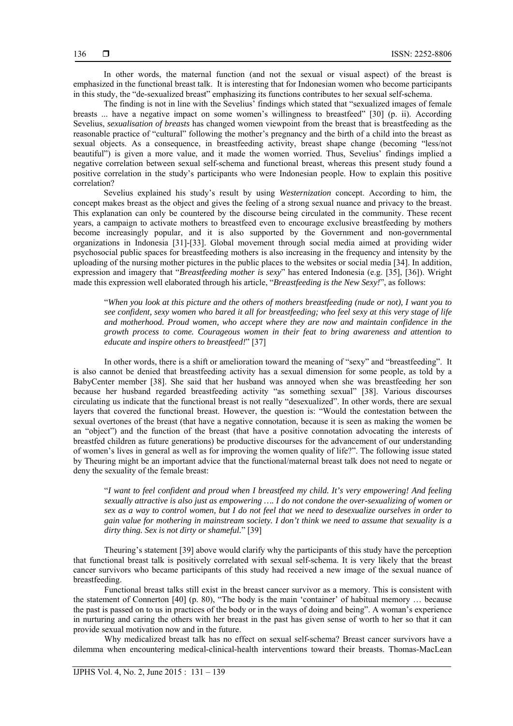In other words, the maternal function (and not the sexual or visual aspect) of the breast is emphasized in the functional breast talk. It is interesting that for Indonesian women who become participants in this study, the "de-sexualized breast" emphasizing its functions contributes to her sexual self-schema.

The finding is not in line with the Sevelius' findings which stated that "sexualized images of female breasts ... have a negative impact on some women's willingness to breastfeed" [30] (p. ii). According Sevelius, *sexualisation of breasts* has changed women viewpoint from the breast that is breastfeeding as the reasonable practice of "cultural" following the mother's pregnancy and the birth of a child into the breast as sexual objects. As a consequence, in breastfeeding activity, breast shape change (becoming "less/not beautiful") is given a more value, and it made the women worried. Thus, Sevelius' findings implied a negative correlation between sexual self-schema and functional breast, whereas this present study found a positive correlation in the study's participants who were Indonesian people. How to explain this positive correlation?

Sevelius explained his study's result by using *Westernization* concept. According to him, the concept makes breast as the object and gives the feeling of a strong sexual nuance and privacy to the breast. This explanation can only be countered by the discourse being circulated in the community. These recent years, a campaign to activate mothers to breastfeed even to encourage exclusive breastfeeding by mothers become increasingly popular, and it is also supported by the Government and non-governmental organizations in Indonesia [31]-[33]. Global movement through social media aimed at providing wider psychosocial public spaces for breastfeeding mothers is also increasing in the frequency and intensity by the uploading of the nursing mother pictures in the public places to the websites or social media [34]. In addition, expression and imagery that "*Breastfeeding mother is sexy*" has entered Indonesia (e.g. [35], [36]). Wright made this expression well elaborated through his article, "*Breastfeeding is the New Sexy!*", as follows:

"*When you look at this picture and the others of mothers breastfeeding (nude or not), I want you to see confident, sexy women who bared it all for breastfeeding; who feel sexy at this very stage of life and motherhood. Proud women, who accept where they are now and maintain confidence in the growth process to come. Courageous women in their feat to bring awareness and attention to educate and inspire others to breastfeed!*" [37]

In other words, there is a shift or amelioration toward the meaning of "sexy" and "breastfeeding". It is also cannot be denied that breastfeeding activity has a sexual dimension for some people, as told by a BabyCenter member [38]. She said that her husband was annoyed when she was breastfeeding her son because her husband regarded breastfeeding activity "as something sexual" [38]. Various discourses circulating us indicate that the functional breast is not really "desexualized". In other words, there are sexual layers that covered the functional breast. However, the question is: "Would the contestation between the sexual overtones of the breast (that have a negative connotation, because it is seen as making the women be an "object") and the function of the breast (that have a positive connotation advocating the interests of breastfed children as future generations) be productive discourses for the advancement of our understanding of women's lives in general as well as for improving the women quality of life?". The following issue stated by Theuring might be an important advice that the functional/maternal breast talk does not need to negate or deny the sexuality of the female breast:

"*I want to feel confident and proud when I breastfeed my child. It's very empowering! And feeling sexually attractive is also just as empowering …. I do not condone the over-sexualizing of women or sex as a way to control women, but I do not feel that we need to desexualize ourselves in order to gain value for mothering in mainstream society. I don't think we need to assume that sexuality is a dirty thing. Sex is not dirty or shameful.*" [39]

Theuring's statement [39] above would clarify why the participants of this study have the perception that functional breast talk is positively correlated with sexual self-schema. It is very likely that the breast cancer survivors who became participants of this study had received a new image of the sexual nuance of breastfeeding.

Functional breast talks still exist in the breast cancer survivor as a memory. This is consistent with the statement of Connerton [40] (p. 80), "The body is the main 'container' of habitual memory … because the past is passed on to us in practices of the body or in the ways of doing and being". A woman's experience in nurturing and caring the others with her breast in the past has given sense of worth to her so that it can provide sexual motivation now and in the future.

Why medicalized breast talk has no effect on sexual self-schema? Breast cancer survivors have a dilemma when encountering medical-clinical-health interventions toward their breasts. Thomas-MacLean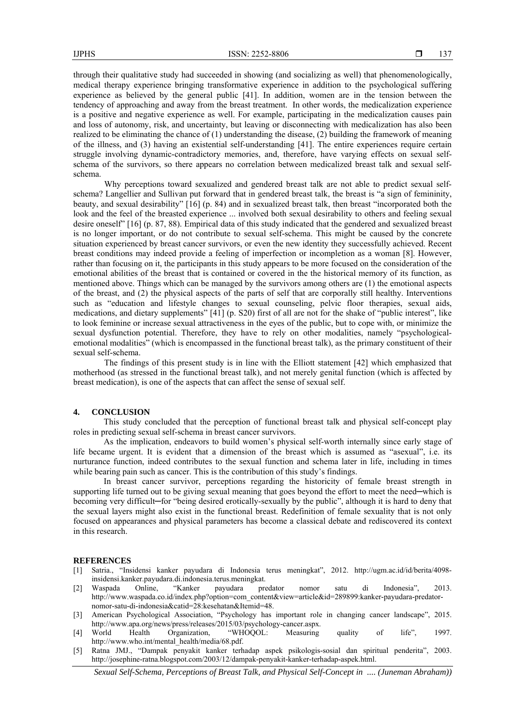through their qualitative study had succeeded in showing (and socializing as well) that phenomenologically, medical therapy experience bringing transformative experience in addition to the psychological suffering experience as believed by the general public [41]. In addition, women are in the tension between the tendency of approaching and away from the breast treatment. In other words, the medicalization experience is a positive and negative experience as well. For example, participating in the medicalization causes pain and loss of autonomy, risk, and uncertainty, but leaving or disconnecting with medicalization has also been realized to be eliminating the chance of (1) understanding the disease, (2) building the framework of meaning of the illness, and (3) having an existential self-understanding [41]. The entire experiences require certain struggle involving dynamic-contradictory memories, and, therefore, have varying effects on sexual selfschema of the survivors, so there appears no correlation between medicalized breast talk and sexual selfschema.

Why perceptions toward sexualized and gendered breast talk are not able to predict sexual selfschema? Langellier and Sullivan put forward that in gendered breast talk, the breast is "a sign of femininity, beauty, and sexual desirability" [16] (p. 84) and in sexualized breast talk, then breast "incorporated both the look and the feel of the breasted experience ... involved both sexual desirability to others and feeling sexual desire oneself" [16] (p. 87, 88). Empirical data of this study indicated that the gendered and sexualized breast is no longer important, or do not contribute to sexual self-schema. This might be caused by the concrete situation experienced by breast cancer survivors, or even the new identity they successfully achieved. Recent breast conditions may indeed provide a feeling of imperfection or incompletion as a woman [8]. However, rather than focusing on it, the participants in this study appears to be more focused on the consideration of the emotional abilities of the breast that is contained or covered in the the historical memory of its function, as mentioned above. Things which can be managed by the survivors among others are (1) the emotional aspects of the breast, and (2) the physical aspects of the parts of self that are corporally still healthy. Interventions such as "education and lifestyle changes to sexual counseling, pelvic floor therapies, sexual aids, medications, and dietary supplements" [41] (p. S20) first of all are not for the shake of "public interest", like to look feminine or increase sexual attractiveness in the eyes of the public, but to cope with, or minimize the sexual dysfunction potential. Therefore, they have to rely on other modalities, namely "psychologicalemotional modalities" (which is encompassed in the functional breast talk), as the primary constituent of their sexual self-schema.

The findings of this present study is in line with the Elliott statement [42] which emphasized that motherhood (as stressed in the functional breast talk), and not merely genital function (which is affected by breast medication), is one of the aspects that can affect the sense of sexual self.

### **4. CONCLUSION**

This study concluded that the perception of functional breast talk and physical self-concept play roles in predicting sexual self-schema in breast cancer survivors.

As the implication, endeavors to build women's physical self-worth internally since early stage of life became urgent. It is evident that a dimension of the breast which is assumed as "asexual", i.e. its nurturance function, indeed contributes to the sexual function and schema later in life, including in times while bearing pain such as cancer. This is the contribution of this study's findings.

In breast cancer survivor, perceptions regarding the historicity of female breast strength in supporting life turned out to be giving sexual meaning that goes beyond the effort to meet the need—which is becoming very difficult—for "being desired erotically-sexually by the public", although it is hard to deny that the sexual layers might also exist in the functional breast. Redefinition of female sexuality that is not only focused on appearances and physical parameters has become a classical debate and rediscovered its context in this research.

#### **REFERENCES**

- [1] Satria., "Insidensi kanker payudara di Indonesia terus meningkat", 2012. http://ugm.ac.id/id/berita/4098 insidensi.kanker.payudara.di.indonesia.terus.meningkat.
- [2] Waspada Online, "Kanker payudara predator nomor satu di Indonesia", 2013. http://www.waspada.co.id/index.php?option=com\_content&view=article&id=289899:kanker-payudara-predatornomor-satu-di-indonesia&catid=28:kesehatan&Itemid=48.
- [3] American Psychological Association, "Psychology has important role in changing cancer landscape", 2015. http://www.apa.org/news/press/releases/2015/03/psychology-cancer.aspx.
- [4] World Health Organization, "WHOQOL: Measuring quality of life", 1997. http://www.who.int/mental\_health/media/68.pdf.
- [5] Ratna JMJ., "Dampak penyakit kanker terhadap aspek psikologis-sosial dan spiritual penderita", 2003. http://josephine-ratna.blogspot.com/2003/12/dampak-penyakit-kanker-terhadap-aspek.html.

*Sexual Self-Schema, Perceptions of Breast Talk, and Physical Self-Concept in .... (Juneman Abraham))*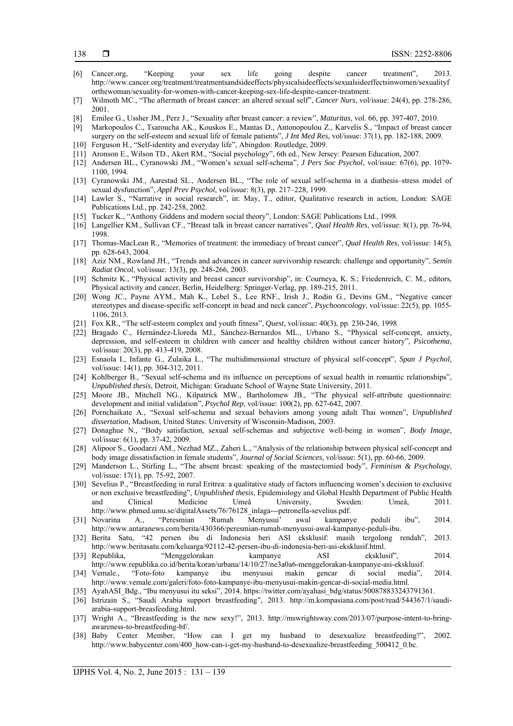- [6] Cancer.org, "Keeping your sex life going despite cancer treatment", 2013. http://www.cancer.org/treatment/treatmentsandsideeffects/physicalsideeffects/sexualsideeffectsinwomen/sexualityf orthewoman/sexuality-for-women-with-cancer-keeping-sex-life-despite-cancer-treatment.
- [7] Wilmoth MC., "The aftermath of breast cancer: an altered sexual self", *Cancer Nurs*, vol/issue: 24(4), pp. 278-286, 2001.
- [8] Emilee G., Ussher JM., Perz J., "Sexuality after breast cancer: a review", *Maturitas*, vol. 66, pp. 397-407, 2010.
- [9] Markopoulos C., Tsaroucha AK., Kouskos E., Mantas D., Antonopoulou Z., Karvelis S., "Impact of breast cancer surgery on the self-esteem and sexual life of female patients", *J Int Med Res*, vol/issue: 37(1), pp. 182-188, 2009.
- [10] Ferguson H., "Self-identity and everyday life", Abingdon: Routledge, 2009.
- [11] Aronson E., Wilson TD., Akert RM., "Social psychology", 6th ed., New Jersey: Pearson Education, 2007.
- [12] Andersen BL., Cyranowski JM., "Women's sexual self-schema", *J Pers Soc Psychol*, vol/issue: 67(6), pp. 1079- 1100, 1994.
- [13] Cyranowski JM., Aarestad SL., Andersen BL., "The role of sexual self-schema in a diathesis–stress model of sexual dysfunction", *Appl Prev Psychol*, vol/issue: 8(3), pp. 217–228, 1999.
- [14] Lawler S., "Narrative in social research", in: May, T., editor, Qualitative research in action, London: SAGE Publications Ltd., pp. 242-258, 2002.
- [15] Tucker K., "Anthony Giddens and modern social theory", London: SAGE Publications Ltd., 1998.
- [16] Langellier KM., Sullivan CF., "Breast talk in breast cancer narratives", *Qual Health Res*, vol/issue: 8(1), pp. 76-94, 1998.
- [17] Thomas-MacLean R., "Memories of treatment: the immediacy of breast cancer", *Qual Health Res*, vol/issue: 14(5), pp. 628-643, 2004.
- [18] Aziz NM., Rowland JH., "Trends and advances in cancer survivorship research: challenge and opportunity", *Semin Radiat Oncol*, vol/issue: 13(3), pp. 248-266, 2003.
- [19] Schmitz K., "Physical activity and breast cancer survivorship", in: Courneya, K. S.; Friedenreich, C. M., editors, Physical activity and cancer, Berlin, Heidelberg: Springer-Verlag, pp. 189-215, 2011.
- [20] Wong JC., Payne AYM., Mah K., Lebel S., Lee RNF., Irish J., Rodin G., Devins GM., "Negative cancer stereotypes and disease-specific self-concept in head and neck cancer", *Psychooncology*, vol/issue: 22(5), pp. 1055- 1106, 2013.
- [21] Fox KR., "The self-esteem complex and youth fitness", *Quest*, vol/issue: 40(3), pp. 230-246, 1998.
- [22] Bragado C., Hernández-Lloreda MJ., Sánchez-Bernardos ML., Urbano S., "Physical self-concept, anxiety, depression, and self-esteem in children with cancer and healthy children without cancer history", *Psicothema*, vol/issue: 20(3), pp. 413-419, 2008.
- [23] Esnaola I., Infante G., Zulaika L., "The multidimensional structure of physical self-concept", *Span J Psychol*, vol/issue: 14(1), pp. 304-312, 2011.
- [24] Kohlberger B., "Sexual self-schema and its influence on perceptions of sexual health in romantic relationships", *Unpublished thesis*, Detroit, Michigan: Graduate School of Wayne State University, 2011.
- [25] Moore JB., Mitchell NG., Kilpatrick MW., Bartholomew JB., "The physical self-attribute questionnaire: development and initial validation", *Psychol Rep*, vol/issue: 100(2), pp. 627-642, 2007.
- [26] Pornchaikate A., "Sexual self-schema and sexual behaviors among young adult Thai women", *Unpublished dissertation*, Madison, United States: University of Wisconsin-Madison, 2003.
- [27] Donaghue N., "Body satisfaction, sexual self-schemas and subjective well-being in women", *Body Image*, vol/issue: 6(1), pp. 37-42, 2009.
- [28] Alipoor S., Goodarzi AM., Nezhad MZ., Zaheri L., "Analysis of the relationship between physical self-concept and body image dissatisfaction in female students", *Journal of Social Sciences*, vol/issue: 5(1), pp. 60-66, 2009.
- [29] Manderson L., Stirling L., "The absent breast: speaking of the mastectomied body", *Feminism & Psychology*, vol/issue: 17(1), pp. 75-92, 2007.
- [30] Sevelius P., "Breastfeeding in rural Eritrea: a qualitative study of factors influencing women's decision to exclusive or non exclusive breastfeeding", *Unpublished thesis*, Epidemiology and Global Health Department of Public Health and Clinical Medicine Umeå University, Sweden: Umeå, 2011. http://www.phmed.umu.se/digitalAssets/76/76128\_inlaga---petronella-sevelius.pdf.
- [31] Novarina A., "Peresmian 'Rumah Menyusui' awal kampanye peduli ibu", 2014. http://www.antaranews.com/berita/430366/peresmian-rumah-menyusui-awal-kampanye-peduli-ibu.
- [32] Berita Satu, "42 persen ibu di Indonesia beri ASI eksklusif: masih tergolong rendah", 2013. http://www.beritasatu.com/keluarga/92112-42-persen-ibu-di-indonesia-beri-asi-eksklusif.html.
- [33] Republika, "Menggelorakan kampanye ASI eksklusif", 2014. http://www.republika.co.id/berita/koran/urbana/14/10/27/ne3a0a6-menggelorakan-kampanye-asi-eksklusif.
- [34] Vemale., "Foto-foto kampanye ibu menyusui makin gencar di social media", 2014. http://www.vemale.com/galeri/foto-foto-kampanye-ibu-menyusui-makin-gencar-di-social-media.html.
- [35] AyahASI Bdg., "Ibu menyusui itu seksi", 2014. https://twitter.com/ayahasi\_bdg/status/500878833243791361.
- [36] Istrizain S., "Saudi Arabia support breastfeeding", 2013. http://m.kompasiana.com/post/read/544367/1/saudiarabia-support-breasfeeding.html.
- [37] Wright A., "Breastfeeding is the new sexy!", 2013. http://mswrightsway.com/2013/07/purpose-intent-to-bringawareness-to-breastfeeding-bf/.
- [38] Baby Center Member, "How can I get my husband to desexualize breastfeeding?", 2002. http://www.babycenter.com/400\_how-can-i-get-my-husband-to-desexualize-breastfeeding\_500412\_0.bc.